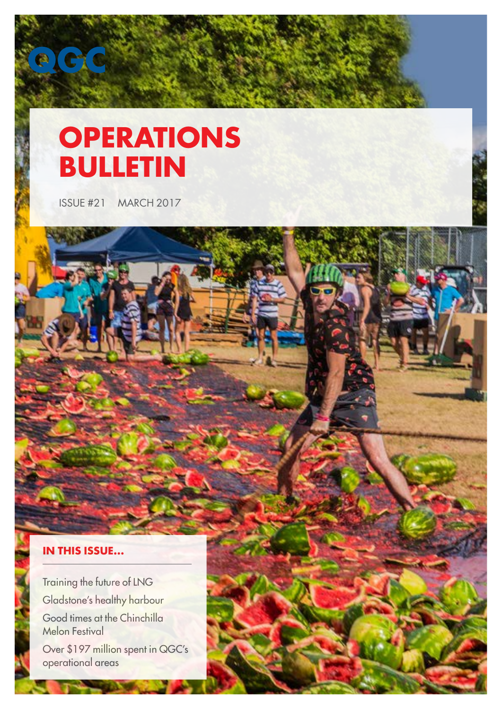# **OPERATIONS BULLETIN**

ISSUE #21 MARCH 2017

### **IN THIS ISSUE...**

Training the future of LNG Gladstone's healthy harbour Good times at the Chinchilla Melon Festival

Over \$197 million spent in QGC's operational areas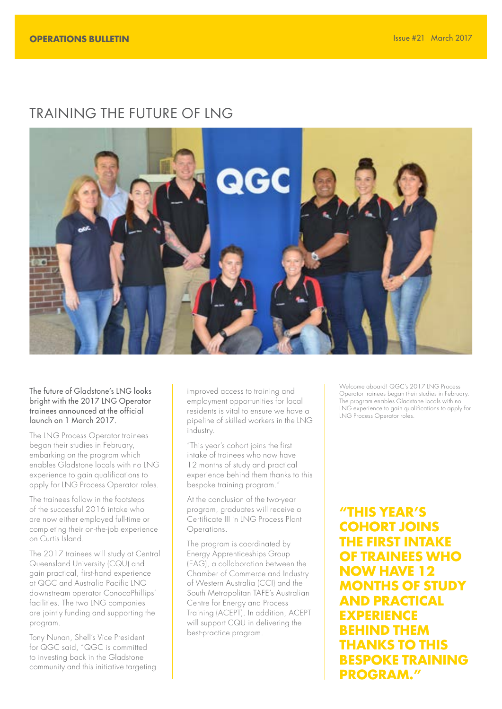# TRAINING THE FUTURE OF LNG



The future of Gladstone's LNG looks bright with the 2017 LNG Operator trainees announced at the official launch on 1 March 2017.

The LNG Process Operator trainees began their studies in February, embarking on the program which enables Gladstone locals with no LNG experience to gain qualifications to apply for LNG Process Operator roles.

The trainees follow in the footsteps of the successful 2016 intake who are now either employed full-time or completing their on-the-job experience on Curtis Island.

The 2017 trainees will study at Central Queensland University (CQU) and gain practical, first-hand experience at QGC and Australia Pacific LNG downstream operator ConocoPhillips' facilities. The two LNG companies are jointly funding and supporting the program.

Tony Nunan, Shell's Vice President for QGC said, "QGC is committed to investing back in the Gladstone community and this initiative targeting improved access to training and employment opportunities for local residents is vital to ensure we have a pipeline of skilled workers in the LNG industry.

"This year's cohort joins the first intake of trainees who now have 12 months of study and practical experience behind them thanks to this bespoke training program."

At the conclusion of the two-year program, graduates will receive a Certificate III in LNG Process Plant Operations.

The program is coordinated by Energy Apprenticeships Group (EAG), a collaboration between the Chamber of Commerce and Industry of Western Australia (CCI) and the South Metropolitan TAFE's Australian Centre for Energy and Process Training (ACEPT). In addition, ACEPT will support CQU in delivering the best-practice program.

Welcome aboard! QGC's 2017 ING Process Operator trainees began their studies in February. The program enables Gladstone locals with no LNG experience to gain qualifications to apply for LNG Process Operator roles.

**"THIS YEAR'S COHORT JOINS THE FIRST INTAKE OF TRAINEES WHO NOW HAVE 12 ONTHS OF STUDY AND PRACTICAL EXPERIENCE BEHIND THEM THANKS TO THIS BESPOKE TRAINING PROGRAM."**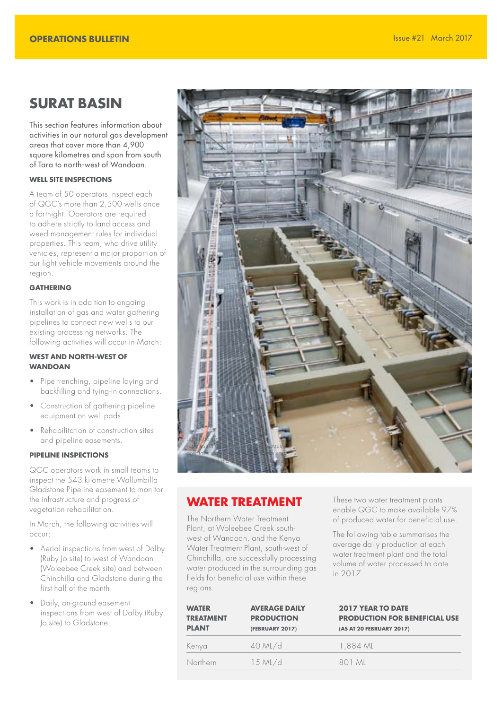### **SURAT BASIN**

This section features information about activities in our natural gas development areas that cover more than 4,900 square kilometres and span from south of Tara to north-west of Wandoan.

#### **WELL SITE INSPECTIONS**

A team of 50 operators inspect each of QGC's more than 2,500 wells once a fortnight. Operators are required to adhere strictly to land access and weed management rules for individual properties. This team, who drive utility vehicles, represent a major proportion of our light vehicle movements around the region.

#### **GATHERING**

This work is in addition to ongoing installation of gas and water gathering pipelines to connect new wells to our existing processing networks. The following activities will occur in March:

#### **WEST AND NORTH-WEST OF WANDOAN**

- Pipe trenching, pipeline laying and backfilling and tying-in connections.
- Construction of gathering pipeline equipment on well pads.
- Rehabilitation of construction sites and pipeline easements.

#### **PIPELINE INSPECTIONS**

QGC operators work in small teams to inspect the 543 kilometre Wallumbilla Gladstone Pipeline easement to monitor the infrastructure and progress of vegetation rehabilitation.

In March, the following activities will occur:

- Aerial inspections from west of Dalby (Ruby Jo site) to west of Wandoan (Woleebee Creek site) and between Chinchilla and Gladstone during the first half of the month.
- Daily, on-ground easement inspections from west of Dalby (Ruby Jo site) to Gladstone.



### **WATER TREATMENT**

The Northern Water Treatment Plant, at Woleebee Creek southwest of Wandoan, and the Kenya Water Treatment Plant, south-west of Chinchilla, are successfully processing water produced in the surrounding gas fields for beneficial use within these regions.

These two water treatment plants enable QGC to make available 97% of produced water for beneficial use.

The following table summarises the average daily production at each water treatment plant and the total volume of water processed to date in 2017.

| <b>WATER</b><br><b>TREATMENT</b><br><b>PLANT</b> | <b>AVERAGE DAILY</b><br><b>PRODUCTION</b><br>(FEBRUARY 2017) | <b>2017 YEAR TO DATE</b><br><b>PRODUCTION FOR BENEFICIAL USE</b><br>(AS AT 20 FEBRUARY 2017) |
|--------------------------------------------------|--------------------------------------------------------------|----------------------------------------------------------------------------------------------|
| Kenya                                            | $40$ ML/d                                                    | 1.884 ML                                                                                     |
| Northern                                         | $15$ ML/d                                                    | 801 ML                                                                                       |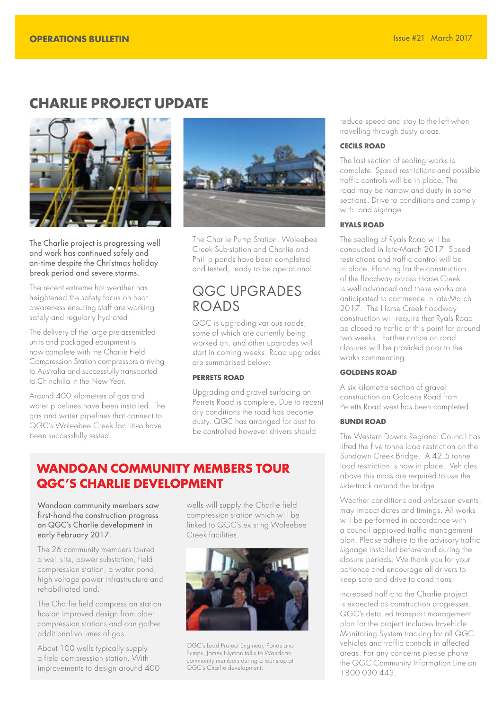### **CHARLIE PROJECT UPDATE**



The Charlie project is progressing well and work has continued safely and on-time despite the Christmas holiday break period and severe storms.

The recent extreme hot weather has heightened the safety focus on heat awareness ensuring staff are working safely and regularly hydrated.

The delivery of the large pre-assembled units and packaged equipment is now complete with the Charlie Field Compression Station compressors arriving to Australia and successfully transported to Chinchilla in the New Year.

Around 400 kilometres of gas and water pipelines have been installed. The gas and water pipelines that connect to QGC's Woleebee Creek facilities have been successfully tested.



The Charlie Pump Station, Woleebee Creek Sub-station and Charlie and Phillip ponds have been completed and tested, ready to be operational.

# QGC UPGRADES ROADS

QGC is upgrading various roads, some of which are currently being worked on, and other upgrades will start in coming weeks. Road upgrades are summarised below:

#### **PERRETS ROAD**

Upgrading and gravel surfacing on Perrets Road is complete. Due to recent dry conditions the road has become dusty. QGC has arranged for dust to be controlled however drivers should

### **WANDOAN COMMUNITY MEMBERS TOUR QGC'S CHARLIE DEVELOPMENT**

Wandoan community members saw first-hand the construction progress on QGC's Charlie development in early February 2017.

The 26 community members toured a well site, power substation, field compression station, a water pond, high voltage power infrastructure and rehabilitated land.

The Charlie field compression station has an improved design from older compression stations and can gather additional volumes of gas.

About 100 wells typically supply a field compression station. With improvements to design around 400 wells will supply the Charlie field compression station which will be linked to QGC's existing Woleebee Creek facilities.



QGC's Lead Project Engineer, Ponds and Pumps, James Nyman talks to Wandoan community members during a tour stop at QGC's Charlie development.

reduce speed and stay to the left when travelling through dusty areas.

#### **CECILS ROAD**

The last section of sealing works is complete. Speed restrictions and possible traffic controls will be in place. The road may be narrow and dusty in some sections. Drive to conditions and comply with road signage.

#### **RYALS ROAD**

The sealing of Ryals Road will be conducted in late-March 2017. Speed restrictions and traffic control will be in place. Planning for the construction of the floodway across Horse Creek is well advanced and these works are anticipated to commence in late-March 2017. The Horse Creek floodway construction will require that Ryals Road be closed to traffic at this point for around two weeks. Further notice on road closures will be provided prior to the works commencing.

#### **GOLDENS ROAD**

A six kilometre section of gravel construction on Goldens Road from Peretts Road west has been completed.

#### **BUNDI ROAD**

The Western Downs Regional Council has lifted the five tonne load restriction on the Sundown Creek Bridge. A 42.5 tonne load restriction is now in place. Vehicles above this mass are required to use the side-track around the bridge.

Weather conditions and unforseen events, may impact dates and timings. All works will be performed in accordance with a council approved traffic management plan. Please adhere to the advisory traffic signage installed before and during the closure periods. We thank you for your patience and encourage all drivers to keep safe and drive to conditions.

Increased traffic to the Charlie project is expected as construction progresses. QGC's detailed transport management plan for the project includes In-vehicle Monitoring System tracking for all QGC vehicles and traffic controls in affected areas. For any concerns please phone the QGC Community Information Line on 1800 030 443.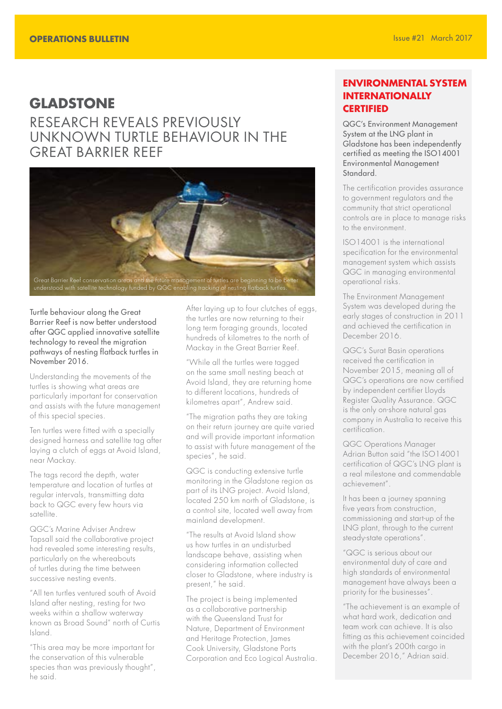### **GLADSTONE** RESEARCH REVEALS PREVIOUSLY UNKNOWN TURTLE BEHAVIOUR IN THE GREAT BARRIER REEF



Turtle behaviour along the Great Barrier Reef is now better understood after QGC applied innovative satellite technology to reveal the migration pathways of nesting flatback turtles in November 2016.

Understanding the movements of the turtles is showing what areas are particularly important for conservation and assists with the future management of this special species.

Ten turtles were fitted with a specially designed harness and satellite tag after laying a clutch of eggs at Avoid Island, near Mackay.

The tags record the depth, water temperature and location of turtles at regular intervals, transmitting data back to QGC every few hours via satellite.

QGC's Marine Adviser Andrew Tapsall said the collaborative project had revealed some interesting results, particularly on the whereabouts of turtles during the time between successive nesting events.

"All ten turtles ventured south of Avoid Island after nesting, resting for two weeks within a shallow waterway known as Broad Sound" north of Curtis Island.

"This area may be more important for the conservation of this vulnerable species than was previously thought", he said.

After laying up to four clutches of eggs, the turtles are now returning to their long term foraging grounds, located hundreds of kilometres to the north of Mackay in the Great Barrier Reef.

"While all the turtles were tagged on the same small nesting beach at Avoid Island, they are returning home to different locations, hundreds of kilometres apart", Andrew said.

"The migration paths they are taking on their return journey are quite varied and will provide important information to assist with future management of the species", he said.

QGC is conducting extensive turtle monitoring in the Gladstone region as part of its LNG project. Avoid Island, located 250 km north of Gladstone, is a control site, located well away from mainland development.

"The results at Avoid Island show us how turtles in an undisturbed landscape behave, assisting when considering information collected closer to Gladstone, where industry is present," he said.

The project is being implemented as a collaborative partnership with the Queensland Trust for Nature, Department of Environment and Heritage Protection, James Cook University, Gladstone Ports Corporation and Eco Logical Australia.

#### **ENVIRONMENTAL SYSTEM INTERNATIONALLY CERTIFIED**

QGC's Environment Management System at the LNG plant in Gladstone has been independently certified as meeting the ISO14001 Environmental Management Standard.

The certification provides assurance to government regulators and the community that strict operational controls are in place to manage risks to the environment.

ISO14001 is the international specification for the environmental management system which assists QGC in managing environmental operational risks.

The Environment Management System was developed during the early stages of construction in 2011 and achieved the certification in December 2016.

QGC's Surat Basin operations received the certification in November 2015, meaning all of QGC's operations are now certified by independent certifier Lloyds Register Quality Assurance. QGC is the only on-shore natural gas company in Australia to receive this certification.

QGC Operations Manager Adrian Button said "the ISO14001 certification of QGC's LNG plant is a real milestone and commendable achievement".

It has been a journey spanning five years from construction, commissioning and start-up of the LNG plant, through to the current steady-state operations".

"QGC is serious about our environmental duty of care and high standards of environmental management have always been a priority for the businesses".

"The achievement is an example of what hard work, dedication and team work can achieve. It is also fitting as this achievement coincided with the plant's 200th cargo in December 2016," Adrian said.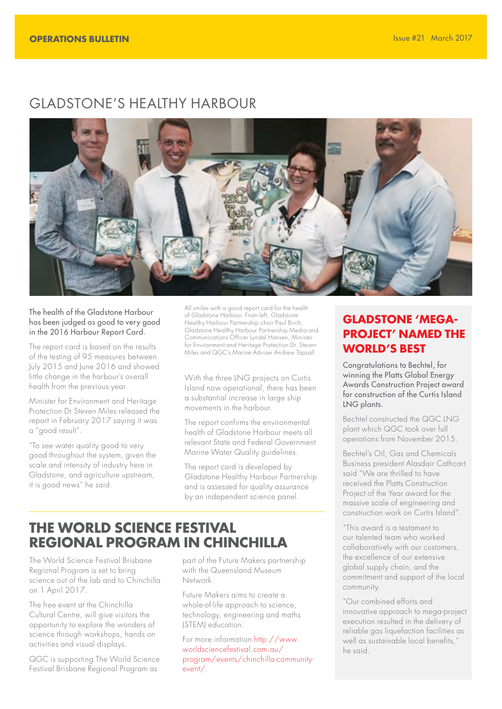# GLADSTONE'S HEALTHY HARBOUR



#### The health of the Gladstone Harbour has been judged as good to very good in the 2016 Harbour Report Card.

The report card is based on the results of the testing of 95 measures between July 2015 and June 2016 and showed little change in the harbour's overall health from the previous year.

Minister for Environment and Heritage Protection Dr Steven Miles released the report in February 2017 saying it was a "good result".

"To see water quality good to very good throughout the system, given the scale and intensity of industry here in Gladstone, and agriculture upstream, it is good news" he said.

All smiles with a good report card for the health of Gladstone Harbour. From left, Gladstone Healthy Harbour Partnership chair Paul Birch, Gladstone Healthy Harbour Partnership Media and Communications Officer Lyndal Hansen, Minister for Environment and Heritage Protection Dr. Steven Miles and QGC's Marine Adviser Andrew Tapsall

With the three LNG projects on Curtis Island now operational, there has been a substantial increase in large ship movements in the harbour.

The report confirms the environmental health of Gladstone Harbour meets all relevant State and Federal Government Marine Water Quality guidelines.

The report card is developed by Gladstone Healthy Harbour Partnership and is assessed for quality assurance by an independent science panel.

# **THE WORLD SCIENCE FESTIVAL REGIONAL PROGRAM IN CHINCHILLA**

The World Science Festival Brisbane Regional Program is set to bring science out of the lab and to Chinchilla on 1 April 2017.

The free event at the Chinchilla Cultural Centre, will give visitors the opportunity to explore the wonders of science through workshops, hands on activities and visual displays.

QGC is supporting The World Science Festival Brisbane Regional Program as

part of the Future Makers partnership with the Queensland Museum Network.

Future Makers aims to create a whole-of-life approach to science, technology, engineering and maths (STEM) education.

For more information [http://www.](http://www.worldsciencefestival.com.au/program/events/chinchilla-community-event/) [worldsciencefestival.com.au/](http://www.worldsciencefestival.com.au/program/events/chinchilla-community-event/) [program/events/chinchilla-community](http://www.worldsciencefestival.com.au/program/events/chinchilla-community-event/)[event/.](http://www.worldsciencefestival.com.au/program/events/chinchilla-community-event/)

### **GLADSTONE 'MEGA-PROJECT' NAMED THE WORLD'S BEST**

Congratulations to Bechtel, for winning the Platts Global Energy Awards Construction Project award for construction of the Curtis Island LNG plants.

Bechtel constructed the QGC LNG plant which QGC took over full operations from November 2015.

Bechtel's Oil, Gas and Chemicals Business president Alasdair Cathcart said "We are thrilled to have received the Platts Construction Project of the Year award for the massive scale of engineering and construction work on Curtis Island".

"This award is a testament to our talented team who worked collaboratively with our customers, the excellence of our extensive global supply chain, and the commitment and support of the local community.

"Our combined efforts and innovative approach to mega-project execution resulted in the delivery of reliable gas liquefaction facilities as well as sustainable local benefits," he said.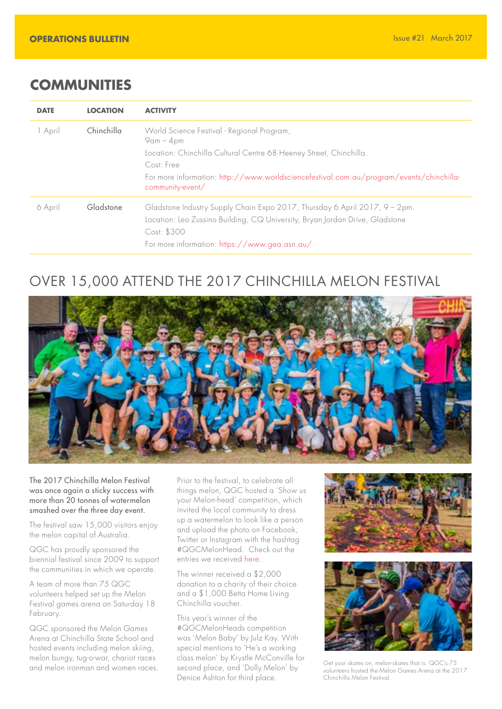### **COMMUNITIES**

| <b>DATE</b> | <b>LOCATION</b> | <b>ACTIVITY</b>                                                                                                                                                                                                                                              |
|-------------|-----------------|--------------------------------------------------------------------------------------------------------------------------------------------------------------------------------------------------------------------------------------------------------------|
| 1 April     | Chinchilla      | World Science Festival - Regional Program,<br>$9am - 4pm$<br>Location: Chinchilla Cultural Centre 68 Heeney Street, Chinchilla.<br>Cost: Free<br>For more information: http://www.worldsciencefestival.com.au/program/events/chinchilla-<br>community-event/ |
| 6 April     | Gladstone       | Gladstone Industry Supply Chain Expo 2017, Thursday 6 April 2017, 9 - 2pm.<br>Location: Leo Zussino Building, CQ University, Bryan Jordan Drive, Gladstone<br>Cost: \$300<br>For more information: https://www.gea.asn.au/                                   |

# OVER 15,000 ATTEND THE 2017 CHINCHILLA MELON FESTIVAL



The 2017 Chinchilla Melon Festival was once again a sticky success with more than 20 tonnes of watermelon smashed over the three day event.

The festival saw 15,000 visitors enjoy the melon capital of Australia.

QGC has proudly sponsored the biennial festival since 2009 to support the communities in which we operate.

A team of more than 75 QGC volunteers helped set up the Melon Festival games arena on Saturday 18 February.

QGC sponsored the Melon Games Arena at Chinchilla State School and hosted events including melon skiing, melon bungy, tug-o-war, chariot races

Prior to the festival, to celebrate all things melon, QGC hosted a 'Show us your Melon-head' competition, which invited the local community to dress up a watermelon to look like a person and upload the photo on Facebook, Twitter or Instagram with the hashtag #QGCMelonHead. Check out the entries we received [here.](http://www.melonfest.com.au/melon-heads-competition.html)

The winner received a \$2,000 donation to a charity of their choice and a \$1,000 Betta Home Living Chinchilla voucher.

and melon ironman and women races. Second place, and 'Dolly Melon' by Set your skates on, melon-skates that is. QGC's 75<br>Central melon ironman and women races. Second place, and 'Dolly Melon' by soluties bosted the Melon G This year's winner of the #QGCMelonHeads competition was 'Melon Baby' by Julz Kay. With special mentions to 'He's a working class melon' by Krystle McConville for second place, and 'Dolly Melon' by Denice Ashton for third place.





volunteers hosted the Melon Games Arena at the 2017 Chinchilla Melon Festival.